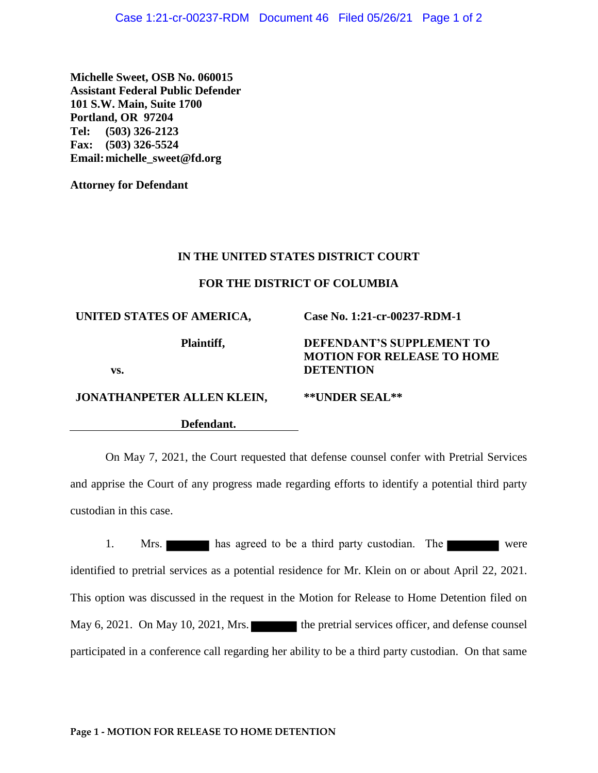**Michelle Sweet, OSB No. 060015 Assistant Federal Public Defender 101 S.W. Main, Suite 1700 Portland, OR 97204 Tel: (503) 326-2123 Fax: (503) 326-5524 Email:michelle\_sweet@fd.org**

**Attorney for Defendant**

## **IN THE UNITED STATES DISTRICT COURT**

## **FOR THE DISTRICT OF COLUMBIA**

# **UNITED STATES OF AMERICA,**

**JONATHANPETER ALLEN KLEIN,**

**Plaintiff,**

# **DEFENDANT'S SUPPLEMENT TO MOTION FOR RELEASE TO HOME DETENTION**

**Case No. 1:21-cr-00237-RDM-1**

**vs.**

#### **\*\*UNDER SEAL\*\***

**Defendant.**

On May 7, 2021, the Court requested that defense counsel confer with Pretrial Services and apprise the Court of any progress made regarding efforts to identify a potential third party custodian in this case.

1. Mrs. has agreed to be a third party custodian. The were identified to pretrial services as a potential residence for Mr. Klein on or about April 22, 2021. This option was discussed in the request in the Motion for Release to Home Detention filed on May 6, 2021. On May 10, 2021, Mrs. the pretrial services officer, and defense counsel participated in a conference call regarding her ability to be a third party custodian. On that same